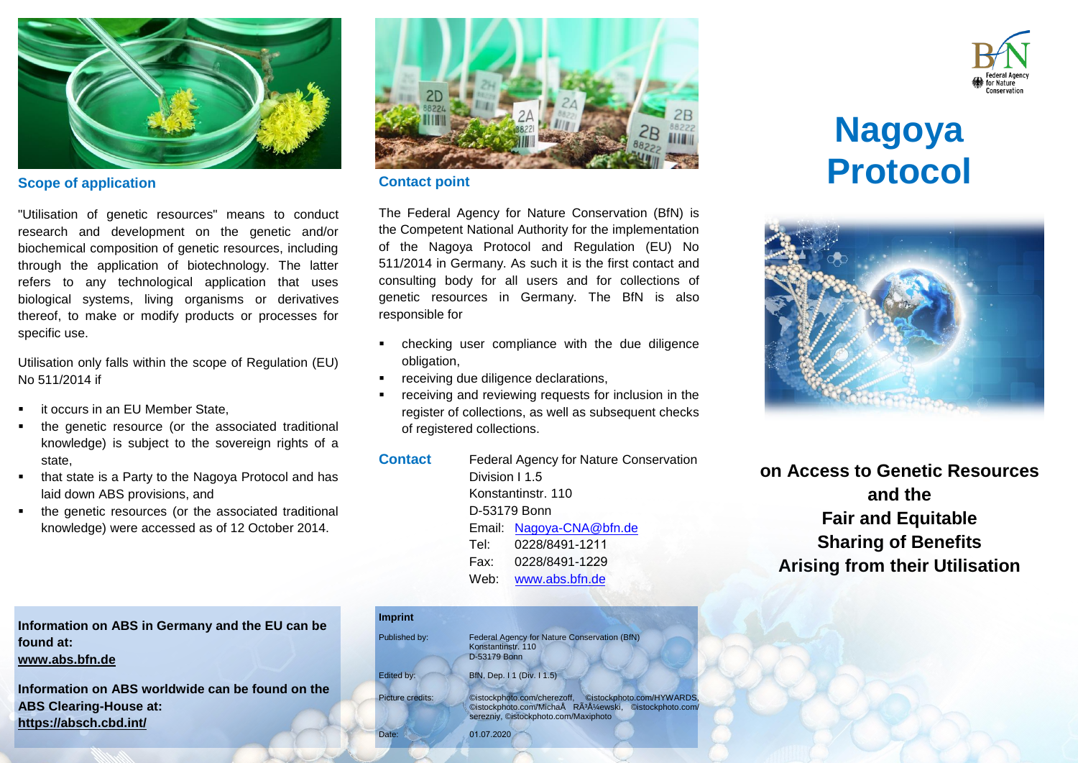

### **Scope of application**

"Utilisation of genetic resources" means to conduct research and development on the genetic and/or biochemical composition of genetic resources, including through the application of biotechnology. The latter refers to any technological application that uses biological systems, living organisms or derivatives thereof, to make or modify products or processes for specific use.

Utilisation only falls within the scope of Regulation (EU) No 511/2014 if

- it occurs in an EU Member State,
- the genetic resource (or the associated traditional knowledge) is subject to the sovereign rights of a state,
- that state is a Party to the Nagoya Protocol and has laid down ABS provisions, and
- the genetic resources (or the associated traditional knowledge) were accessed as of 12 October 2014.



#### **Contact point**

The Federal Agency for Nature Conservation (BfN) is the Competent National Authority for the implementation of the Nagoya Protocol and Regulation (EU) No 511/2014 in Germany. As such it is the first contact and consulting body for all users and for collections of genetic resources in Germany. The BfN is also responsible for

- checking user compliance with the due diligence obligation,
- receiving due diligence declarations,
- receiving and reviewing requests for inclusion in the register of collections, as well as subsequent checks of registered collections.

| <b>Contact</b> | Federal Agency for Nature Conservation |                          |  |
|----------------|----------------------------------------|--------------------------|--|
|                | Division I 1.5                         |                          |  |
|                | Konstantinstr, 110                     |                          |  |
|                | D-53179 Bonn                           |                          |  |
|                |                                        | Email: Nagoya-CNA@bfn.de |  |
|                |                                        | Tel: 0228/8491-1211      |  |
|                |                                        | Fax: 0228/8491-1229      |  |
|                |                                        | Web: www.abs.bfn.de      |  |
|                |                                        |                          |  |

| <b>Imprint</b>   |                                                                                                                                                                       |
|------------------|-----------------------------------------------------------------------------------------------------------------------------------------------------------------------|
| Published by:    | Federal Agency for Nature Conservation (BfN)<br>Konstantinstr, 110<br>D-53179 Bonn                                                                                    |
| Edited by:       | BfN, Dep. I 1 (Div. I 1.5)                                                                                                                                            |
| Picture credits: | ©istockphoto.com/HYWARDS,<br>©istockphoto.com/cherezoff,<br>©istockphoto.com/MichaÅ RÃ <sup>3</sup> żewski, ©istockphoto.com/<br>serezniy, ©istockphoto.com/Maxiphoto |
| Date:            | 01.07.2020                                                                                                                                                            |



# **Nagoya Protocol**



**on Access to Genetic Resources and the Fair and Equitable Sharing of Benefits Arising from their Utilisation** 

**Information on ABS in Germany and the EU can be found at:** 

#### **[www.abs.bfn.de](http://www.abs.bfn.de/)**

**Information on ABS worldwide can be found on the ABS Clearing-House at: <https://absch.cbd.int/>**